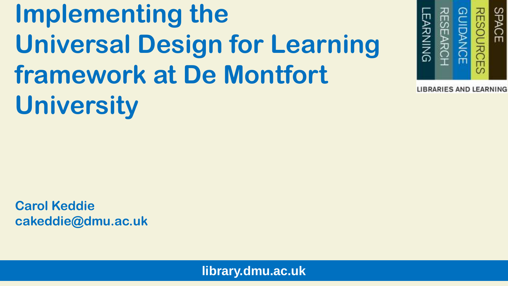### **Implementing the Universal Design for Learning framework at De Montfort University**



**LIBRARIES AND LEARNING** 

**Carol Keddie cakeddie@dmu.ac.uk**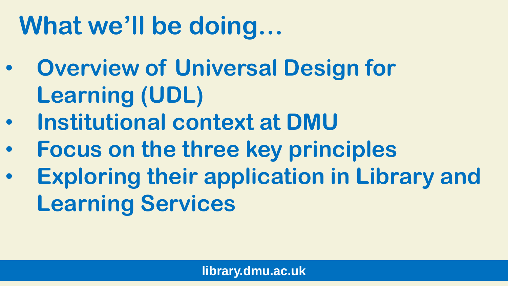### **What we'll be doing…**

- **Overview of Universal Design for Learning (UDL)**
- **Institutional context at DMU**
- **Focus on the three key principles**
- **Exploring their application in Library and Learning Services**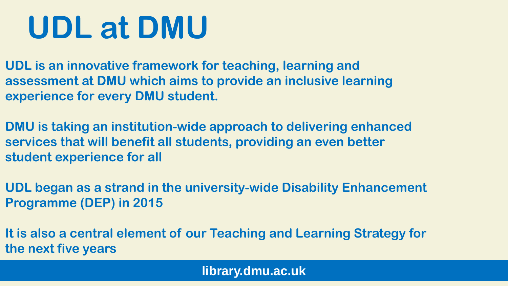## **UDL at DMU**

**UDL is an innovative framework for teaching, learning and assessment at DMU which aims to provide an inclusive learning experience for every DMU student.**

**DMU is taking an institution-wide approach to delivering enhanced services that will benefit all students, providing an even better student experience for all**

**UDL began as a strand in the university-wide Disability Enhancement Programme (DEP) in 2015**

**It is also a central element of our Teaching and Learning Strategy for the next five years**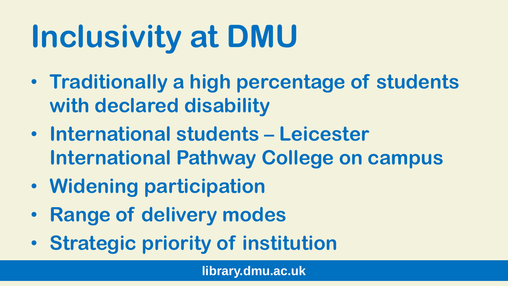## **Inclusivity at DMU**

- **Traditionally a high percentage of students with declared disability**
- **International students – Leicester International Pathway College on campus**
- **Widening participation**
- **Range of delivery modes**
- **Strategic priority of institution**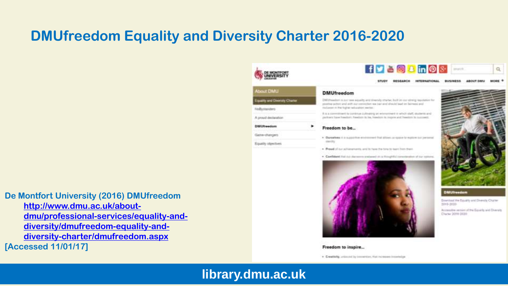#### **DMUfreedom Equality and Diversity Charter 2016-2020**

**De Montfort University (2016) DMUfreedom [http://www.dmu.ac.uk/about](http://www.dmu.ac.uk/about-dmu/professional-services/equality-and-diversity/dmufreedom-equality-and-diversity-charter/dmufreedom.aspx)[dmu/professional-services/equality-and](http://www.dmu.ac.uk/about-dmu/professional-services/equality-and-diversity/dmufreedom-equality-and-diversity-charter/dmufreedom.aspx)[diversity/dmufreedom-equality-and](http://www.dmu.ac.uk/about-dmu/professional-services/equality-and-diversity/dmufreedom-equality-and-diversity-charter/dmufreedom.aspx)[diversity-charter/dmufreedom.aspx](http://www.dmu.ac.uk/about-dmu/professional-services/equality-and-diversity/dmufreedom-equality-and-diversity-charter/dmufreedom.aspx) [Accessed 11/01/17]**



Equity Herchies



**GESEARCH** INTERNATIONAL DUSINESS ABOUT DAILY senate 4 **REMARKS** 

#### **DMUfreedom**

Differentiate is not two assuring and directly started for its parameters residents for line promise or had at this pay that we need that the control of the first set of the control and the italianan in the lughar subscriber awriter.

bra developed the contenue of when the presence accelerate to the development of the development of all partners have freedom freedom to be, insector to may expert freedom to quoteent.

#### Freedom to be...

. Durantee it is aggressed and consect that allows an export to exchange in the control cardia:

. Presid of not achievements, and to have the time to main from them

. Confident that no discusses and end at a thoughtful considerable of our national



#### Freedom to inspire...

. Creativity, unbound by convertion, that incidence immediate



Q.

#### **DMUlreedom**

Download the Equator and Diversity Charter po-6-3020

Accountine remined of the Equality and Diversity Chemy 2019-2020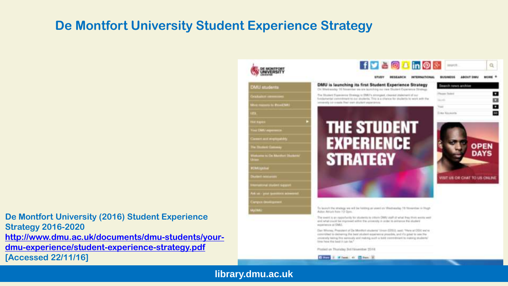#### **De Montfort University Student Experience Strategy**

**De Montfort University (2016) Student Experience Strategy 2016-2020 [http://www.dmu.ac.uk/documents/dmu-students/your-](http://www.dmu.ac.uk/documents/dmu-students/your-dmu-experience/student-experience-strategy.pdf)**

**[dmu-experience/student-experience-strategy.pdf](http://www.dmu.ac.uk/documents/dmu-students/your-dmu-experience/student-experience-strategy.pdf) [Accessed 22/11/16]**



consmitted to delivering the best statent experience procedure, and if a great to see the conservely tasting this sensuals and making wash a bold conventioned to material equilibritis' hima hana tita lossit it tusi has!

Ploded on Thursday 3rd November 2014

**CENTER OF MITCHELL OF THE PAST**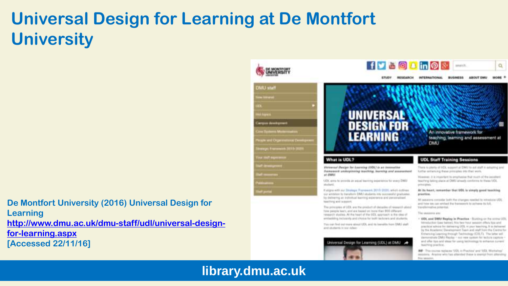### **Universal Design for Learning at De Montfort University**

**De Montfort University (2016) Universal Design for Learning [http://www.dmu.ac.uk/dmu-staff/udl/universal-design](http://www.dmu.ac.uk/dmu-staff/udl/universal-design-for-learning.aspx)[for-learning.aspx](http://www.dmu.ac.uk/dmu-staff/udl/universal-design-for-learning.aspx) [Accessed 22/11/16]**

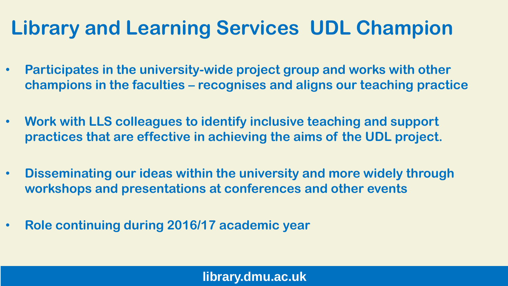### **Library and Learning Services UDL Champion**

- **Participates in the university-wide project group and works with other champions in the faculties – recognises and aligns our teaching practice**
- **Work with LLS colleagues to identify inclusive teaching and support practices that are effective in achieving the aims of the UDL project.**
- **Disseminating our ideas within the university and more widely through workshops and presentations at conferences and other events**
- **Role continuing during 2016/17 academic year**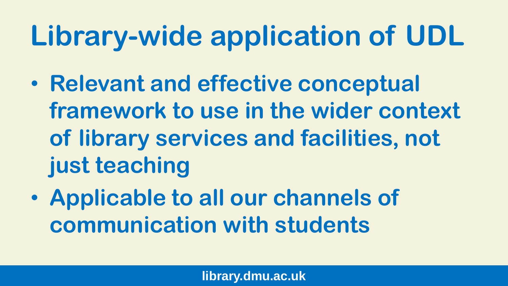### **Library-wide application of UDL**

- **Relevant and effective conceptual framework to use in the wider context of library services and facilities, not just teaching**
- **Applicable to all our channels of communication with students**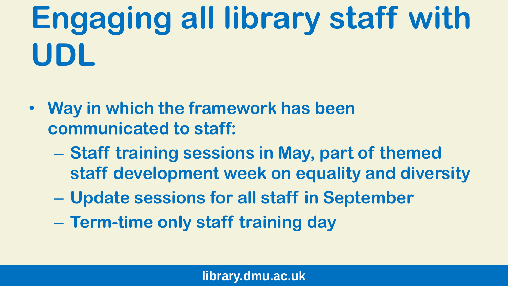## **Engaging all library staff with UDL**

- **Way in which the framework has been communicated to staff:**
	- **Staff training sessions in May, part of themed staff development week on equality and diversity**
	- **Update sessions for all staff in September**
	- **Term-time only staff training day**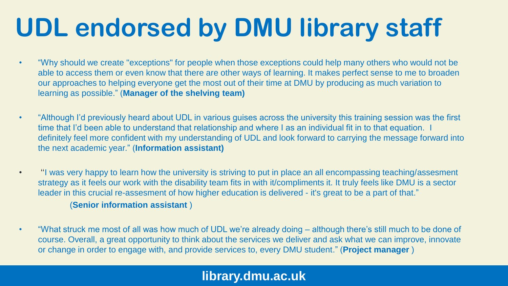### **UDL endorsed by DMU library staff**

- "Why should we create "exceptions" for people when those exceptions could help many others who would not be able to access them or even know that there are other ways of learning. It makes perfect sense to me to broaden our approaches to helping everyone get the most out of their time at DMU by producing as much variation to learning as possible." (**Manager of the shelving team)**
- "Although I'd previously heard about UDL in various guises across the university this training session was the first time that I'd been able to understand that relationship and where I as an individual fit in to that equation. I definitely feel more confident with my understanding of UDL and look forward to carrying the message forward into the next academic year." (**Information assistant)**
- "I was very happy to learn how the university is striving to put in place an all encompassing teaching/assesment strategy as it feels our work with the disability team fits in with it/compliments it. It truly feels like DMU is a sector leader in this crucial re-assesment of how higher education is delivered - it's great to be a part of that." (**Senior information assistant** )
- "What struck me most of all was how much of UDL we're already doing although there's still much to be done of course. Overall, a great opportunity to think about the services we deliver and ask what we can improve, innovate or change in order to engage with, and provide services to, every DMU student." (**Project manager** )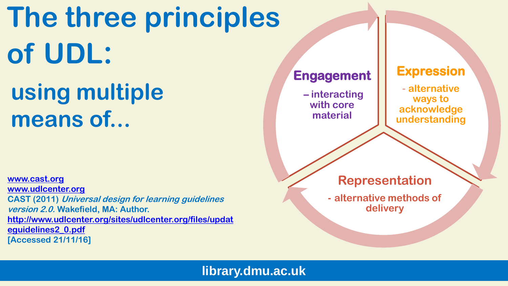## **The three principles of UDL:**

### **using multiple means of...**

**[www.cast.org](http://www.cast.org/) [www.udlcenter.org](http://www.udlcenter.org/) CAST (2011) Universal design for learning guidelines version 2.0. Wakefield, MA: Author. [http://www.udlcenter.org/sites/udlcenter.org/files/updat](http://www.udlcenter.org/sites/udlcenter.org/files/updateguidelines2_0.pdf) [eguidelines2\\_0.pdf](http://www.udlcenter.org/sites/udlcenter.org/files/updateguidelines2_0.pdf) [Accessed 21/11/16]**

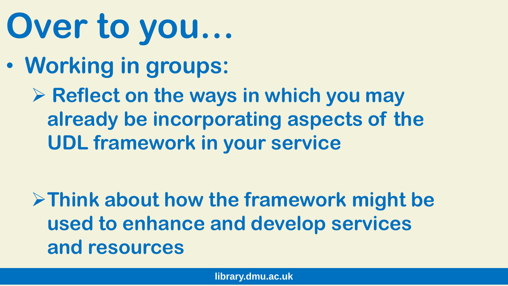# **Over to you…**

• **Working in groups:**

**EXEL X Reflect on the ways in which you may already be incorporating aspects of the UDL framework in your service**

**Think about how the framework might be used to enhance and develop services and resources**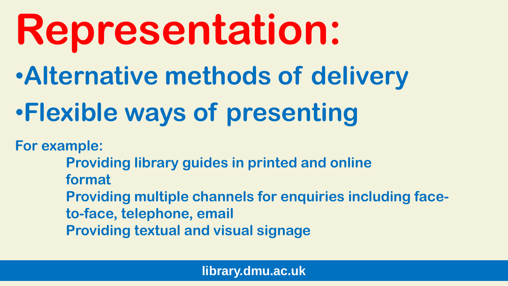# **Representation:**

•**Alternative methods of delivery**

### •**Flexible ways of presenting**

**For example:**

**Providing library guides in printed and online format Providing multiple channels for enquiries including faceto-face, telephone, email Providing textual and visual signage**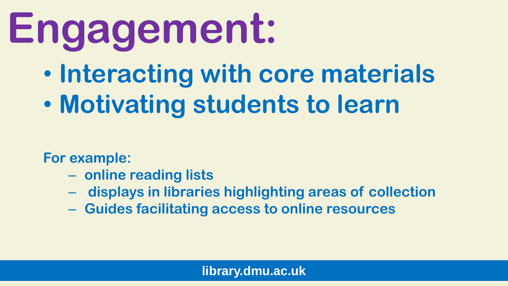# **Engagement:**

- **Interacting with core materials**
- **Motivating students to learn**

**For example:** 

- **online reading lists**
- **displays in libraries highlighting areas of collection**
- **Guides facilitating access to online resources**